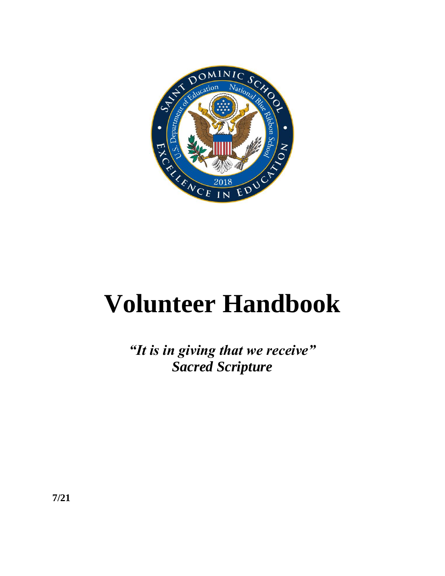

# **Volunteer Handbook**

*"It is in giving that we receive" Sacred Scripture*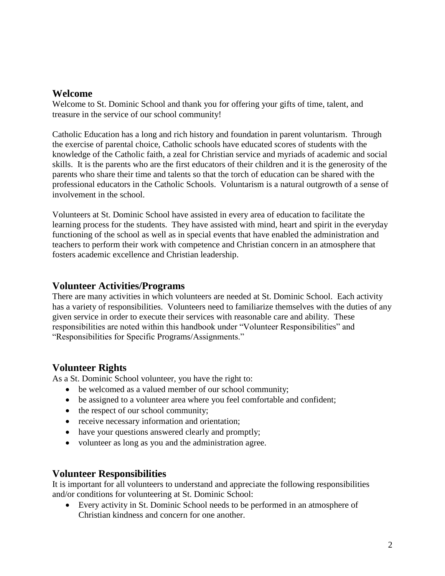#### **Welcome**

Welcome to St. Dominic School and thank you for offering your gifts of time, talent, and treasure in the service of our school community!

Catholic Education has a long and rich history and foundation in parent voluntarism. Through the exercise of parental choice, Catholic schools have educated scores of students with the knowledge of the Catholic faith, a zeal for Christian service and myriads of academic and social skills. It is the parents who are the first educators of their children and it is the generosity of the parents who share their time and talents so that the torch of education can be shared with the professional educators in the Catholic Schools. Voluntarism is a natural outgrowth of a sense of involvement in the school.

Volunteers at St. Dominic School have assisted in every area of education to facilitate the learning process for the students. They have assisted with mind, heart and spirit in the everyday functioning of the school as well as in special events that have enabled the administration and teachers to perform their work with competence and Christian concern in an atmosphere that fosters academic excellence and Christian leadership.

# **Volunteer Activities/Programs**

There are many activities in which volunteers are needed at St. Dominic School. Each activity has a variety of responsibilities. Volunteers need to familiarize themselves with the duties of any given service in order to execute their services with reasonable care and ability. These responsibilities are noted within this handbook under "Volunteer Responsibilities" and "Responsibilities for Specific Programs/Assignments."

# **Volunteer Rights**

As a St. Dominic School volunteer, you have the right to:

- be welcomed as a valued member of our school community;
- be assigned to a volunteer area where you feel comfortable and confident;
- the respect of our school community;
- receive necessary information and orientation;
- have your questions answered clearly and promptly;
- volunteer as long as you and the administration agree.

# **Volunteer Responsibilities**

It is important for all volunteers to understand and appreciate the following responsibilities and/or conditions for volunteering at St. Dominic School:

 Every activity in St. Dominic School needs to be performed in an atmosphere of Christian kindness and concern for one another.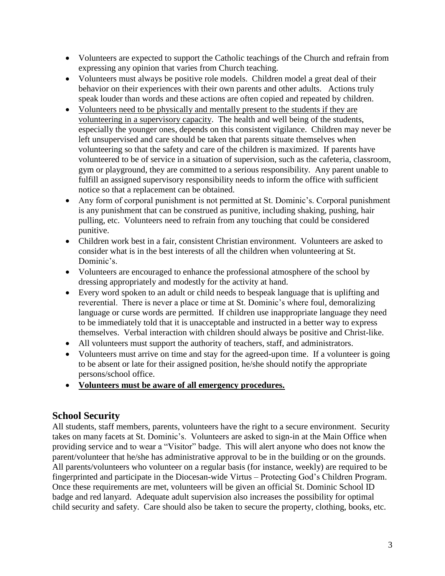- Volunteers are expected to support the Catholic teachings of the Church and refrain from expressing any opinion that varies from Church teaching.
- Volunteers must always be positive role models. Children model a great deal of their behavior on their experiences with their own parents and other adults. Actions truly speak louder than words and these actions are often copied and repeated by children.
- Volunteers need to be physically and mentally present to the students if they are volunteering in a supervisory capacity. The health and well being of the students, especially the younger ones, depends on this consistent vigilance. Children may never be left unsupervised and care should be taken that parents situate themselves when volunteering so that the safety and care of the children is maximized. If parents have volunteered to be of service in a situation of supervision, such as the cafeteria, classroom, gym or playground, they are committed to a serious responsibility. Any parent unable to fulfill an assigned supervisory responsibility needs to inform the office with sufficient notice so that a replacement can be obtained.
- Any form of corporal punishment is not permitted at St. Dominic's. Corporal punishment is any punishment that can be construed as punitive, including shaking, pushing, hair pulling, etc. Volunteers need to refrain from any touching that could be considered punitive.
- Children work best in a fair, consistent Christian environment. Volunteers are asked to consider what is in the best interests of all the children when volunteering at St. Dominic's.
- Volunteers are encouraged to enhance the professional atmosphere of the school by dressing appropriately and modestly for the activity at hand.
- Every word spoken to an adult or child needs to bespeak language that is uplifting and reverential. There is never a place or time at St. Dominic's where foul, demoralizing language or curse words are permitted. If children use inappropriate language they need to be immediately told that it is unacceptable and instructed in a better way to express themselves. Verbal interaction with children should always be positive and Christ-like.
- All volunteers must support the authority of teachers, staff, and administrators.
- Volunteers must arrive on time and stay for the agreed-upon time. If a volunteer is going to be absent or late for their assigned position, he/she should notify the appropriate persons/school office.
- **Volunteers must be aware of all emergency procedures.**

# **School Security**

All students, staff members, parents, volunteers have the right to a secure environment. Security takes on many facets at St. Dominic's. Volunteers are asked to sign-in at the Main Office when providing service and to wear a "Visitor" badge. This will alert anyone who does not know the parent/volunteer that he/she has administrative approval to be in the building or on the grounds. All parents/volunteers who volunteer on a regular basis (for instance, weekly) are required to be fingerprinted and participate in the Diocesan-wide Virtus – Protecting God's Children Program. Once these requirements are met, volunteers will be given an official St. Dominic School ID badge and red lanyard. Adequate adult supervision also increases the possibility for optimal child security and safety. Care should also be taken to secure the property, clothing, books, etc.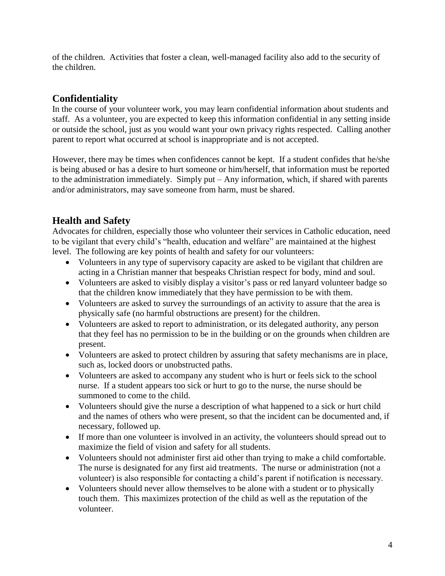of the children. Activities that foster a clean, well-managed facility also add to the security of the children.

# **Confidentiality**

In the course of your volunteer work, you may learn confidential information about students and staff. As a volunteer, you are expected to keep this information confidential in any setting inside or outside the school, just as you would want your own privacy rights respected. Calling another parent to report what occurred at school is inappropriate and is not accepted.

However, there may be times when confidences cannot be kept. If a student confides that he/she is being abused or has a desire to hurt someone or him/herself, that information must be reported to the administration immediately. Simply put – Any information, which, if shared with parents and/or administrators, may save someone from harm, must be shared.

# **Health and Safety**

Advocates for children, especially those who volunteer their services in Catholic education, need to be vigilant that every child's "health, education and welfare" are maintained at the highest level. The following are key points of health and safety for our volunteers:

- Volunteers in any type of supervisory capacity are asked to be vigilant that children are acting in a Christian manner that bespeaks Christian respect for body, mind and soul.
- Volunteers are asked to visibly display a visitor's pass or red lanyard volunteer badge so that the children know immediately that they have permission to be with them.
- Volunteers are asked to survey the surroundings of an activity to assure that the area is physically safe (no harmful obstructions are present) for the children.
- Volunteers are asked to report to administration, or its delegated authority, any person that they feel has no permission to be in the building or on the grounds when children are present.
- Volunteers are asked to protect children by assuring that safety mechanisms are in place, such as, locked doors or unobstructed paths.
- Volunteers are asked to accompany any student who is hurt or feels sick to the school nurse. If a student appears too sick or hurt to go to the nurse, the nurse should be summoned to come to the child.
- Volunteers should give the nurse a description of what happened to a sick or hurt child and the names of others who were present, so that the incident can be documented and, if necessary, followed up.
- If more than one volunteer is involved in an activity, the volunteers should spread out to maximize the field of vision and safety for all students.
- Volunteers should not administer first aid other than trying to make a child comfortable. The nurse is designated for any first aid treatments. The nurse or administration (not a volunteer) is also responsible for contacting a child's parent if notification is necessary.
- Volunteers should never allow themselves to be alone with a student or to physically touch them. This maximizes protection of the child as well as the reputation of the volunteer.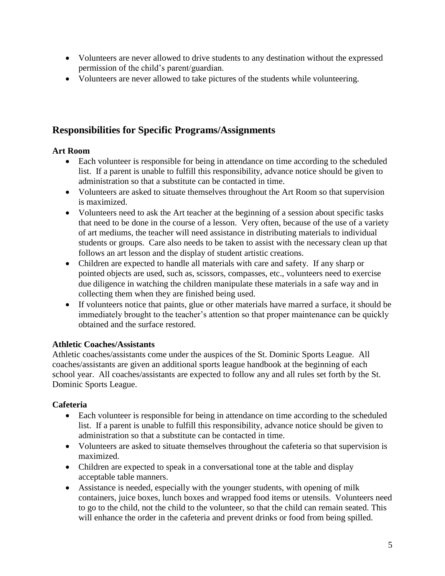- Volunteers are never allowed to drive students to any destination without the expressed permission of the child's parent/guardian.
- Volunteers are never allowed to take pictures of the students while volunteering.

# **Responsibilities for Specific Programs/Assignments**

#### **Art Room**

- Each volunteer is responsible for being in attendance on time according to the scheduled list. If a parent is unable to fulfill this responsibility, advance notice should be given to administration so that a substitute can be contacted in time.
- Volunteers are asked to situate themselves throughout the Art Room so that supervision is maximized.
- Volunteers need to ask the Art teacher at the beginning of a session about specific tasks that need to be done in the course of a lesson. Very often, because of the use of a variety of art mediums, the teacher will need assistance in distributing materials to individual students or groups. Care also needs to be taken to assist with the necessary clean up that follows an art lesson and the display of student artistic creations.
- Children are expected to handle all materials with care and safety. If any sharp or pointed objects are used, such as, scissors, compasses, etc., volunteers need to exercise due diligence in watching the children manipulate these materials in a safe way and in collecting them when they are finished being used.
- If volunteers notice that paints, glue or other materials have marred a surface, it should be immediately brought to the teacher's attention so that proper maintenance can be quickly obtained and the surface restored.

# **Athletic Coaches/Assistants**

Athletic coaches/assistants come under the auspices of the St. Dominic Sports League. All coaches/assistants are given an additional sports league handbook at the beginning of each school year. All coaches/assistants are expected to follow any and all rules set forth by the St. Dominic Sports League.

# **Cafeteria**

- Each volunteer is responsible for being in attendance on time according to the scheduled list. If a parent is unable to fulfill this responsibility, advance notice should be given to administration so that a substitute can be contacted in time.
- Volunteers are asked to situate themselves throughout the cafeteria so that supervision is maximized.
- Children are expected to speak in a conversational tone at the table and display acceptable table manners.
- Assistance is needed, especially with the younger students, with opening of milk containers, juice boxes, lunch boxes and wrapped food items or utensils. Volunteers need to go to the child, not the child to the volunteer, so that the child can remain seated. This will enhance the order in the cafeteria and prevent drinks or food from being spilled.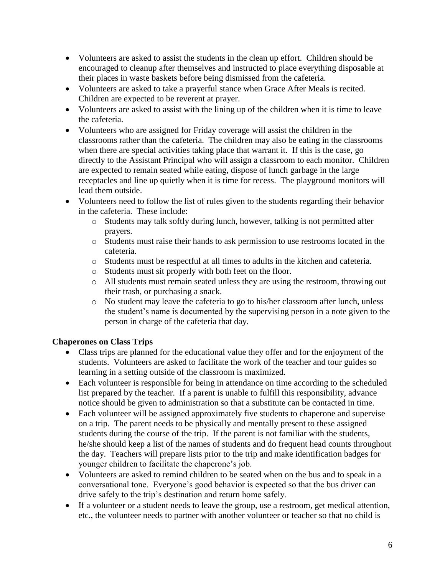- Volunteers are asked to assist the students in the clean up effort. Children should be encouraged to cleanup after themselves and instructed to place everything disposable at their places in waste baskets before being dismissed from the cafeteria.
- Volunteers are asked to take a prayerful stance when Grace After Meals is recited. Children are expected to be reverent at prayer.
- Volunteers are asked to assist with the lining up of the children when it is time to leave the cafeteria.
- Volunteers who are assigned for Friday coverage will assist the children in the classrooms rather than the cafeteria. The children may also be eating in the classrooms when there are special activities taking place that warrant it. If this is the case, go directly to the Assistant Principal who will assign a classroom to each monitor. Children are expected to remain seated while eating, dispose of lunch garbage in the large receptacles and line up quietly when it is time for recess. The playground monitors will lead them outside.
- Volunteers need to follow the list of rules given to the students regarding their behavior in the cafeteria. These include:
	- o Students may talk softly during lunch, however, talking is not permitted after prayers.
	- o Students must raise their hands to ask permission to use restrooms located in the cafeteria.
	- o Students must be respectful at all times to adults in the kitchen and cafeteria.
	- o Students must sit properly with both feet on the floor.
	- o All students must remain seated unless they are using the restroom, throwing out their trash, or purchasing a snack.
	- o No student may leave the cafeteria to go to his/her classroom after lunch, unless the student's name is documented by the supervising person in a note given to the person in charge of the cafeteria that day.

# **Chaperones on Class Trips**

- Class trips are planned for the educational value they offer and for the enjoyment of the students. Volunteers are asked to facilitate the work of the teacher and tour guides so learning in a setting outside of the classroom is maximized.
- Each volunteer is responsible for being in attendance on time according to the scheduled list prepared by the teacher. If a parent is unable to fulfill this responsibility, advance notice should be given to administration so that a substitute can be contacted in time.
- Each volunteer will be assigned approximately five students to chaperone and supervise on a trip. The parent needs to be physically and mentally present to these assigned students during the course of the trip. If the parent is not familiar with the students, he/she should keep a list of the names of students and do frequent head counts throughout the day. Teachers will prepare lists prior to the trip and make identification badges for younger children to facilitate the chaperone's job.
- Volunteers are asked to remind children to be seated when on the bus and to speak in a conversational tone. Everyone's good behavior is expected so that the bus driver can drive safely to the trip's destination and return home safely.
- If a volunteer or a student needs to leave the group, use a restroom, get medical attention, etc., the volunteer needs to partner with another volunteer or teacher so that no child is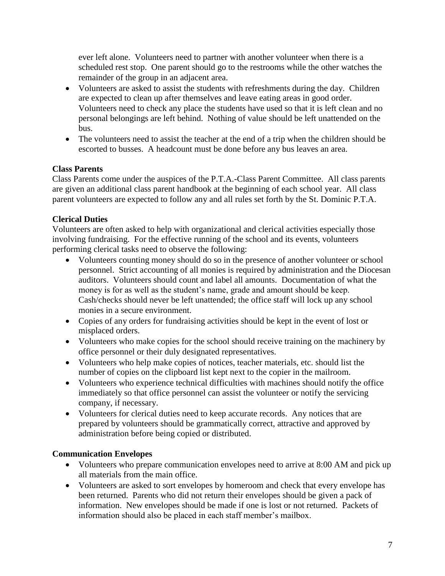ever left alone. Volunteers need to partner with another volunteer when there is a scheduled rest stop. One parent should go to the restrooms while the other watches the remainder of the group in an adjacent area.

- Volunteers are asked to assist the students with refreshments during the day. Children are expected to clean up after themselves and leave eating areas in good order. Volunteers need to check any place the students have used so that it is left clean and no personal belongings are left behind. Nothing of value should be left unattended on the bus.
- The volunteers need to assist the teacher at the end of a trip when the children should be escorted to busses. A headcount must be done before any bus leaves an area.

#### **Class Parents**

Class Parents come under the auspices of the P.T.A.-Class Parent Committee. All class parents are given an additional class parent handbook at the beginning of each school year. All class parent volunteers are expected to follow any and all rules set forth by the St. Dominic P.T.A.

#### **Clerical Duties**

Volunteers are often asked to help with organizational and clerical activities especially those involving fundraising. For the effective running of the school and its events, volunteers performing clerical tasks need to observe the following:

- Volunteers counting money should do so in the presence of another volunteer or school personnel. Strict accounting of all monies is required by administration and the Diocesan auditors. Volunteers should count and label all amounts. Documentation of what the money is for as well as the student's name, grade and amount should be keep. Cash/checks should never be left unattended; the office staff will lock up any school monies in a secure environment.
- Copies of any orders for fundraising activities should be kept in the event of lost or misplaced orders.
- Volunteers who make copies for the school should receive training on the machinery by office personnel or their duly designated representatives.
- Volunteers who help make copies of notices, teacher materials, etc. should list the number of copies on the clipboard list kept next to the copier in the mailroom.
- Volunteers who experience technical difficulties with machines should notify the office immediately so that office personnel can assist the volunteer or notify the servicing company, if necessary.
- Volunteers for clerical duties need to keep accurate records. Any notices that are prepared by volunteers should be grammatically correct, attractive and approved by administration before being copied or distributed.

#### **Communication Envelopes**

- Volunteers who prepare communication envelopes need to arrive at 8:00 AM and pick up all materials from the main office.
- Volunteers are asked to sort envelopes by homeroom and check that every envelope has been returned. Parents who did not return their envelopes should be given a pack of information. New envelopes should be made if one is lost or not returned. Packets of information should also be placed in each staff member's mailbox.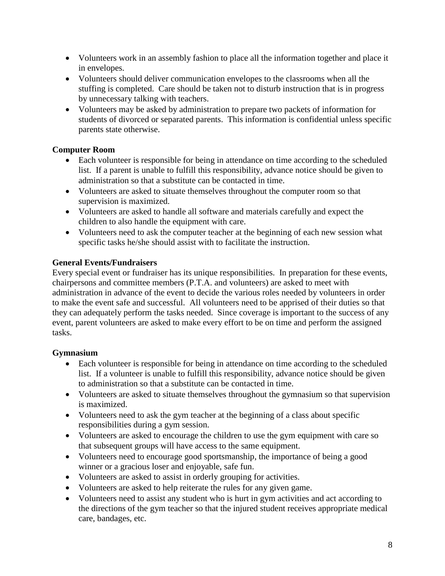- Volunteers work in an assembly fashion to place all the information together and place it in envelopes.
- Volunteers should deliver communication envelopes to the classrooms when all the stuffing is completed. Care should be taken not to disturb instruction that is in progress by unnecessary talking with teachers.
- Volunteers may be asked by administration to prepare two packets of information for students of divorced or separated parents. This information is confidential unless specific parents state otherwise.

# **Computer Room**

- Each volunteer is responsible for being in attendance on time according to the scheduled list. If a parent is unable to fulfill this responsibility, advance notice should be given to administration so that a substitute can be contacted in time.
- Volunteers are asked to situate themselves throughout the computer room so that supervision is maximized.
- Volunteers are asked to handle all software and materials carefully and expect the children to also handle the equipment with care.
- Volunteers need to ask the computer teacher at the beginning of each new session what specific tasks he/she should assist with to facilitate the instruction.

#### **General Events/Fundraisers**

Every special event or fundraiser has its unique responsibilities. In preparation for these events, chairpersons and committee members (P.T.A. and volunteers) are asked to meet with administration in advance of the event to decide the various roles needed by volunteers in order to make the event safe and successful. All volunteers need to be apprised of their duties so that they can adequately perform the tasks needed. Since coverage is important to the success of any event, parent volunteers are asked to make every effort to be on time and perform the assigned tasks.

# **Gymnasium**

- Each volunteer is responsible for being in attendance on time according to the scheduled list. If a volunteer is unable to fulfill this responsibility, advance notice should be given to administration so that a substitute can be contacted in time.
- Volunteers are asked to situate themselves throughout the gymnasium so that supervision is maximized.
- Volunteers need to ask the gym teacher at the beginning of a class about specific responsibilities during a gym session.
- Volunteers are asked to encourage the children to use the gym equipment with care so that subsequent groups will have access to the same equipment.
- Volunteers need to encourage good sportsmanship, the importance of being a good winner or a gracious loser and enjoyable, safe fun.
- Volunteers are asked to assist in orderly grouping for activities.
- Volunteers are asked to help reiterate the rules for any given game.
- Volunteers need to assist any student who is hurt in gym activities and act according to the directions of the gym teacher so that the injured student receives appropriate medical care, bandages, etc.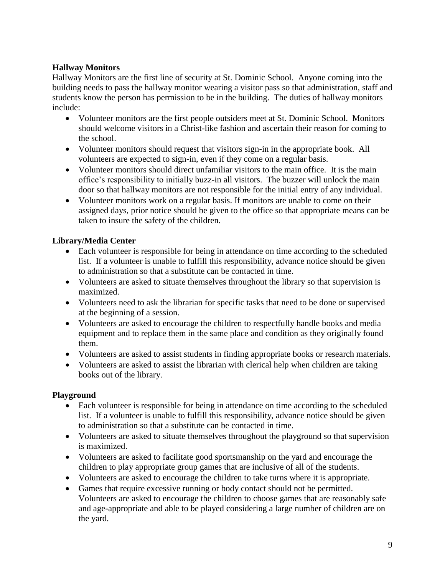#### **Hallway Monitors**

Hallway Monitors are the first line of security at St. Dominic School. Anyone coming into the building needs to pass the hallway monitor wearing a visitor pass so that administration, staff and students know the person has permission to be in the building. The duties of hallway monitors include:

- Volunteer monitors are the first people outsiders meet at St. Dominic School. Monitors should welcome visitors in a Christ-like fashion and ascertain their reason for coming to the school.
- Volunteer monitors should request that visitors sign-in in the appropriate book. All volunteers are expected to sign-in, even if they come on a regular basis.
- Volunteer monitors should direct unfamiliar visitors to the main office. It is the main office's responsibility to initially buzz-in all visitors. The buzzer will unlock the main door so that hallway monitors are not responsible for the initial entry of any individual.
- Volunteer monitors work on a regular basis. If monitors are unable to come on their assigned days, prior notice should be given to the office so that appropriate means can be taken to insure the safety of the children.

# **Library/Media Center**

- Each volunteer is responsible for being in attendance on time according to the scheduled list. If a volunteer is unable to fulfill this responsibility, advance notice should be given to administration so that a substitute can be contacted in time.
- Volunteers are asked to situate themselves throughout the library so that supervision is maximized.
- Volunteers need to ask the librarian for specific tasks that need to be done or supervised at the beginning of a session.
- Volunteers are asked to encourage the children to respectfully handle books and media equipment and to replace them in the same place and condition as they originally found them.
- Volunteers are asked to assist students in finding appropriate books or research materials.
- Volunteers are asked to assist the librarian with clerical help when children are taking books out of the library.

# **Playground**

- Each volunteer is responsible for being in attendance on time according to the scheduled list. If a volunteer is unable to fulfill this responsibility, advance notice should be given to administration so that a substitute can be contacted in time.
- Volunteers are asked to situate themselves throughout the playground so that supervision is maximized.
- Volunteers are asked to facilitate good sportsmanship on the yard and encourage the children to play appropriate group games that are inclusive of all of the students.
- Volunteers are asked to encourage the children to take turns where it is appropriate.
- Games that require excessive running or body contact should not be permitted. Volunteers are asked to encourage the children to choose games that are reasonably safe and age-appropriate and able to be played considering a large number of children are on the yard.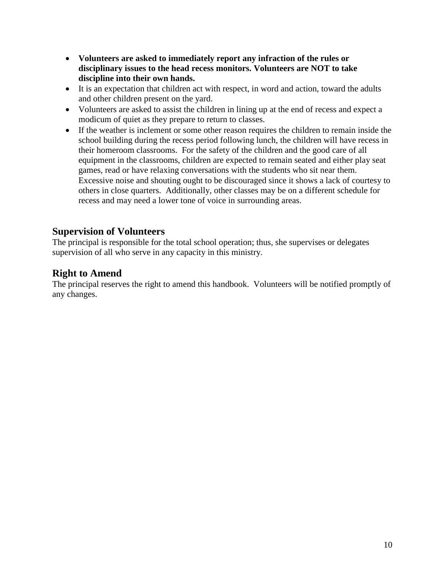- **Volunteers are asked to immediately report any infraction of the rules or disciplinary issues to the head recess monitors. Volunteers are NOT to take discipline into their own hands.**
- It is an expectation that children act with respect, in word and action, toward the adults and other children present on the yard.
- Volunteers are asked to assist the children in lining up at the end of recess and expect a modicum of quiet as they prepare to return to classes.
- If the weather is inclement or some other reason requires the children to remain inside the school building during the recess period following lunch, the children will have recess in their homeroom classrooms. For the safety of the children and the good care of all equipment in the classrooms, children are expected to remain seated and either play seat games, read or have relaxing conversations with the students who sit near them. Excessive noise and shouting ought to be discouraged since it shows a lack of courtesy to others in close quarters. Additionally, other classes may be on a different schedule for recess and may need a lower tone of voice in surrounding areas.

# **Supervision of Volunteers**

The principal is responsible for the total school operation; thus, she supervises or delegates supervision of all who serve in any capacity in this ministry.

# **Right to Amend**

The principal reserves the right to amend this handbook. Volunteers will be notified promptly of any changes.